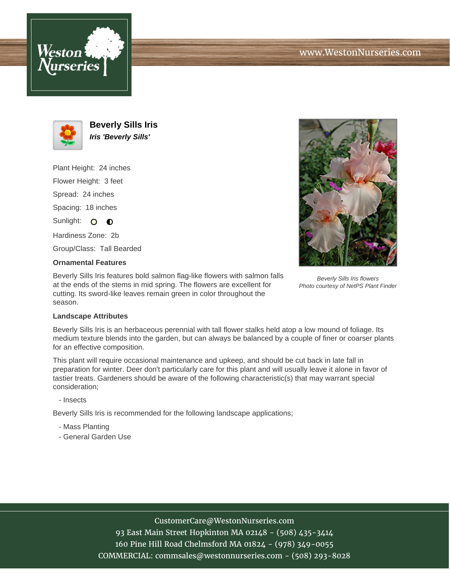





**Beverly Sills Iris Iris 'Beverly Sills'**

Plant Height: 24 inches

Flower Height: 3 feet

Spread: 24 inches

Spacing: 18 inches

Sunlight: O O

Hardiness Zone: 2b

Group/Class: Tall Bearded

## **Ornamental Features**

Beverly Sills Iris features bold salmon flag-like flowers with salmon falls at the ends of the stems in mid spring. The flowers are excellent for cutting. Its sword-like leaves remain green in color throughout the season.



Beverly Sills Iris flowers Photo courtesy of NetPS Plant Finder

## **Landscape Attributes**

Beverly Sills Iris is an herbaceous perennial with tall flower stalks held atop a low mound of foliage. Its medium texture blends into the garden, but can always be balanced by a couple of finer or coarser plants for an effective composition.

This plant will require occasional maintenance and upkeep, and should be cut back in late fall in preparation for winter. Deer don't particularly care for this plant and will usually leave it alone in favor of tastier treats. Gardeners should be aware of the following characteristic(s) that may warrant special consideration;

## - Insects

Beverly Sills Iris is recommended for the following landscape applications;

- Mass Planting
- General Garden Use

# CustomerCare@WestonNurseries.com

93 East Main Street Hopkinton MA 02148 - (508) 435-3414 160 Pine Hill Road Chelmsford MA 01824 - (978) 349-0055 COMMERCIAL: commsales@westonnurseries.com - (508) 293-8028